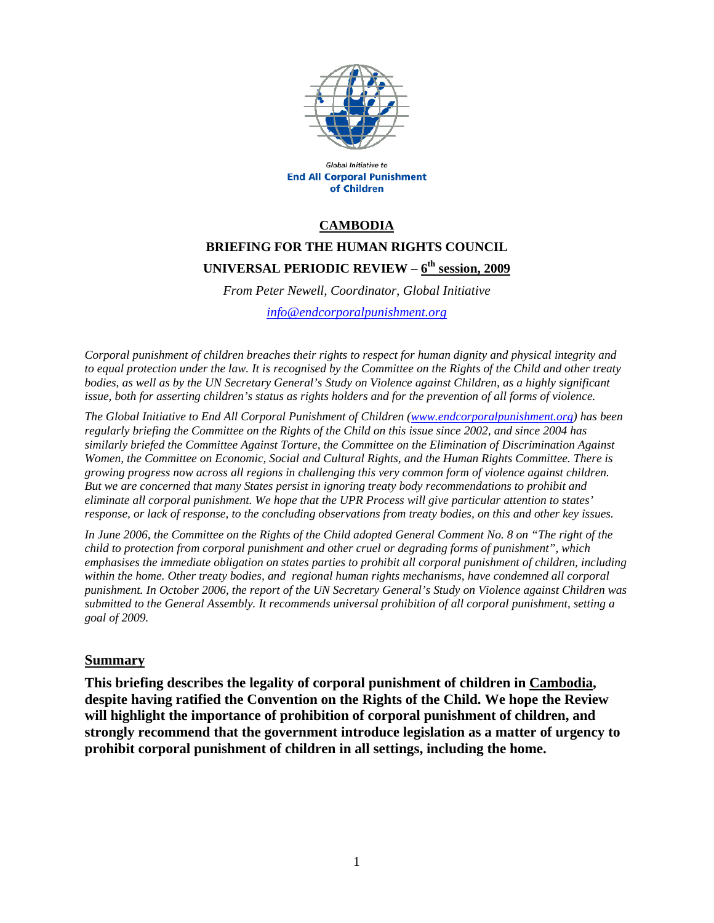

Global Initiative to **End All Corporal Punishment** of Children

#### **CAMBODIA**

# **BRIEFING FOR THE HUMAN RIGHTS COUNCIL UNIVERSAL PERIODIC REVIEW – 6th session, 2009**

*From Peter Newell, Coordinator, Global Initiative* 

*info@endcorporalpunishment.org*

*Corporal punishment of children breaches their rights to respect for human dignity and physical integrity and to equal protection under the law. It is recognised by the Committee on the Rights of the Child and other treaty bodies, as well as by the UN Secretary General's Study on Violence against Children, as a highly significant issue, both for asserting children's status as rights holders and for the prevention of all forms of violence.* 

*The Global Initiative to End All Corporal Punishment of Children (www.endcorporalpunishment.org) has been regularly briefing the Committee on the Rights of the Child on this issue since 2002, and since 2004 has similarly briefed the Committee Against Torture, the Committee on the Elimination of Discrimination Against Women, the Committee on Economic, Social and Cultural Rights, and the Human Rights Committee. There is growing progress now across all regions in challenging this very common form of violence against children. But we are concerned that many States persist in ignoring treaty body recommendations to prohibit and eliminate all corporal punishment. We hope that the UPR Process will give particular attention to states' response, or lack of response, to the concluding observations from treaty bodies, on this and other key issues.* 

*In June 2006, the Committee on the Rights of the Child adopted General Comment No. 8 on "The right of the child to protection from corporal punishment and other cruel or degrading forms of punishment", which emphasises the immediate obligation on states parties to prohibit all corporal punishment of children, including within the home. Other treaty bodies, and regional human rights mechanisms, have condemned all corporal punishment. In October 2006, the report of the UN Secretary General's Study on Violence against Children was submitted to the General Assembly. It recommends universal prohibition of all corporal punishment, setting a goal of 2009.*

#### **Summary**

**This briefing describes the legality of corporal punishment of children in Cambodia, despite having ratified the Convention on the Rights of the Child. We hope the Review will highlight the importance of prohibition of corporal punishment of children, and strongly recommend that the government introduce legislation as a matter of urgency to prohibit corporal punishment of children in all settings, including the home.**